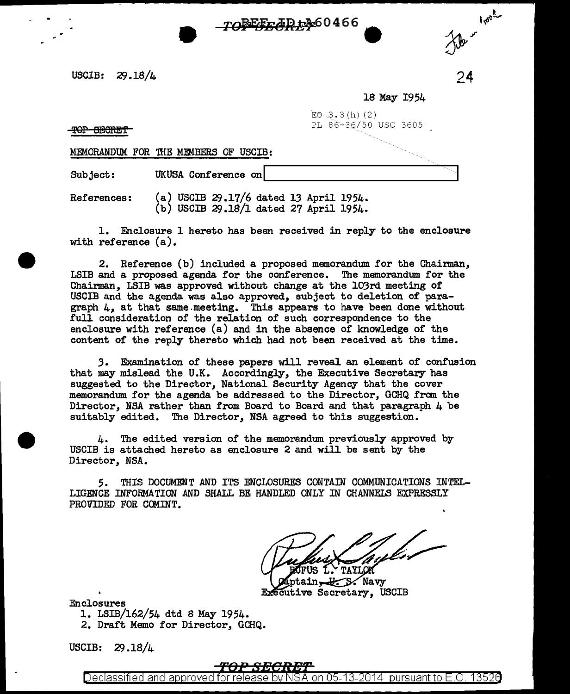USCIB: 29 .18/4

18 May 1954

24

*Hotel* 

 $E_0$  3.3(h) (2) PL 86-36/50 USC 3605

<del>TOP SECRET</del>

MEMORANDUM FOR 'IHE MEMBERS OF USCIB:

Subject: UKUSA Conference on

References: (a) USCIB  $29.17/6$  dated 13 April 1954.  $(b)$  USCIB 29.18/1 dated 27 April 1954.

1. Enclosure 1 hereto has been received in reply to the enclosure with reference (a).

70 EFF AR 1360466

2. Reference (b) included a proposed memorandum for the Chairman, LSIB and a proposed agenda for the conference. The memorandum for the Chainnan, LSIB was approved without change at the 103rd meeting of USCIB and the agenda was also approved, subject to deletion of paragraph  $l_i$ , at that same meeting. This appears to have been done without full consideration of the relation of such correspondence to the enclosure with reference (a) and in the absence of knowledge of the content of the reply thereto which had not been received at the time.

3. Examination of these papers will reveal an element of confusion that may mislead the U.K. Accordingly, the Executive Secretary has suggested to the Director, National Security Agency that the cover memorandum for the agenda be addressed to the Director, GCHQ from the Director, NSA rather than from Board to Board and that paragraph 4 be suitably edited. The Director, NSA agreed to this suggestion.

4. The edited version of the memorandum previously approved by USCIB is attached hereto as enclosure 2 and will be sent by the Director, NSA.

5. THIS DOCUMmT AND ITS ENCLOSURES CONTAIN COMMUNICATIONS INTEL-LIGENCE INFORMATION AND SHALL BE HANDLED ONLY IN CHANNELS EXPRESSLY PROVIDED FOR COMINT.

dfus 1. TAYLOR

ptain U.S. Navy Executive Secretary, USCIB

Enclosures

1. LSIB/162/54 dtd 8 May 1954.

2. Draft Memo for Director, GCHQ.

USCIB: 29.18/4

## <del>TOP SIX</del>

Declassified and approved for release by NSA on 05-13-2014  $\,$  pursuant to E.O. 1352 $6$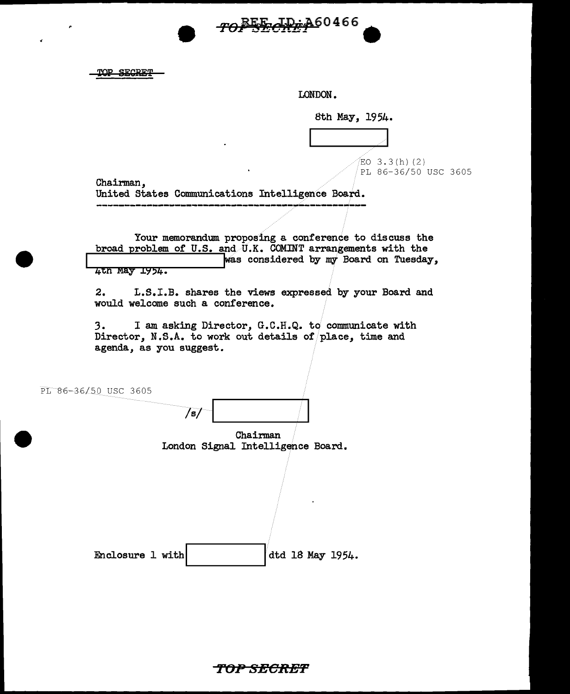TOP SECRET

LONDON.

TOP SEGAD: A60466

8th May, 1954.

 $EO$  3.3(h)(2) PL 86-36/50 USC 3605

Chairman, United States Communications Intelligence Board.

Your memorandum proposing a conference to discuss the broad problem of U.S. and U.K. COMINT arrangements with the was considered by my Board on Tuesday, 4th May 1954.

2. L.S.I.B. shares the views expressed by your Board and would welcome such a conference.

3. I am asking Director, G.C.H.Q. to communicate with Director, N.S.A. to work out details of place, time and agenda, as you suggest.

PL 86-36/50 USC 3605

/s/ Chairman London Signal Intelligence Board. Enclosure 1 with dtd 18 May 1954.

**'f'(JP SECltEf"**